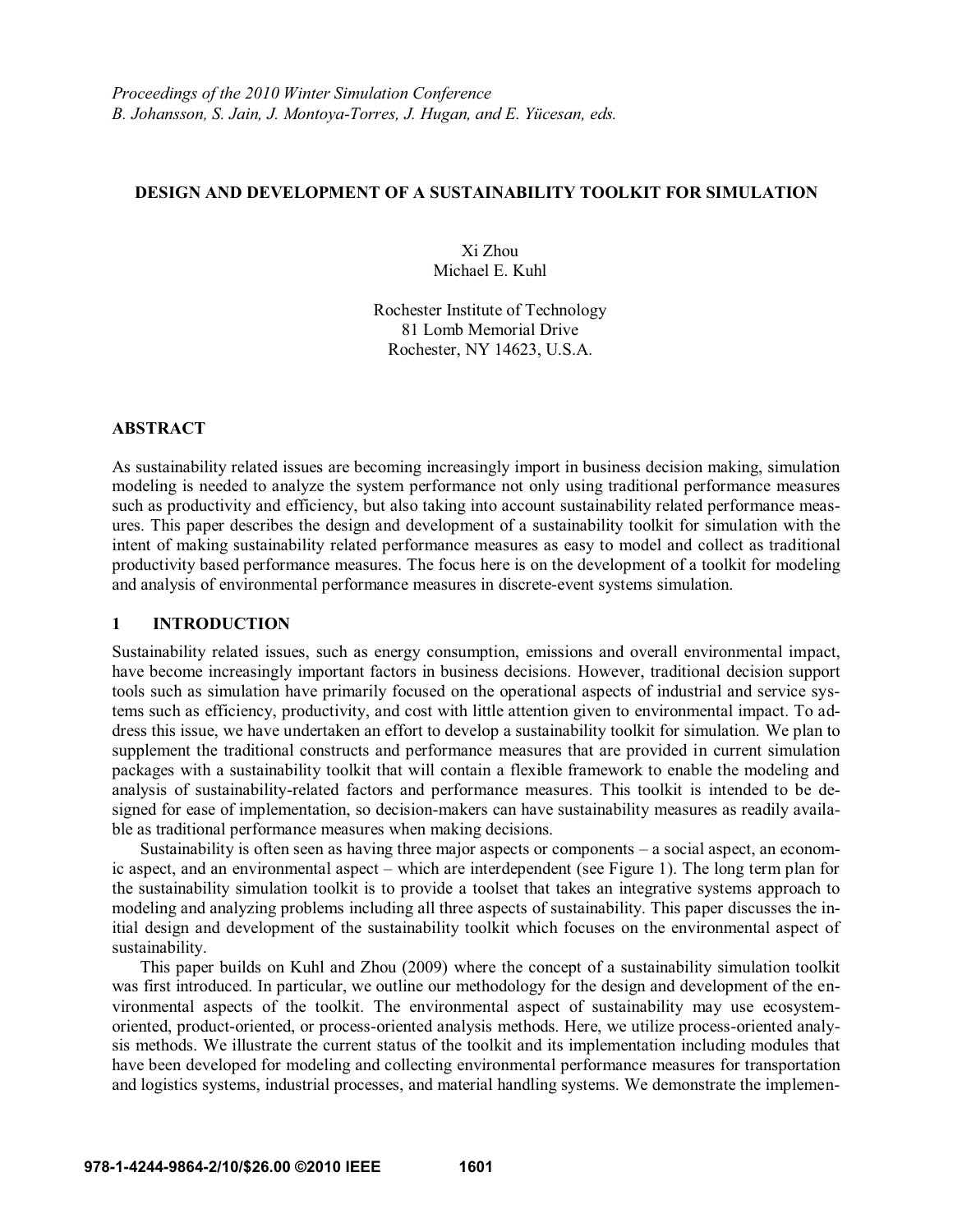## **DESIGN AND DEVELOPMENT OF A SUSTAINABILITY TOOLKIT FOR SIMULATION**

Xi Zhou Michael E. Kuhl

Rochester Institute of Technology 81 Lomb Memorial Drive Rochester, NY 14623, U.S.A.

# **ABSTRACT**

As sustainability related issues are becoming increasingly import in business decision making, simulation modeling is needed to analyze the system performance not only using traditional performance measures such as productivity and efficiency, but also taking into account sustainability related performance measures. This paper describes the design and development of a sustainability toolkit for simulation with the intent of making sustainability related performance measures as easy to model and collect as traditional productivity based performance measures. The focus here is on the development of a toolkit for modeling and analysis of environmental performance measures in discrete-event systems simulation.

## **1 INTRODUCTION**

Sustainability related issues, such as energy consumption, emissions and overall environmental impact, have become increasingly important factors in business decisions. However, traditional decision support tools such as simulation have primarily focused on the operational aspects of industrial and service systems such as efficiency, productivity, and cost with little attention given to environmental impact. To address this issue, we have undertaken an effort to develop a sustainability toolkit for simulation. We plan to supplement the traditional constructs and performance measures that are provided in current simulation packages with a sustainability toolkit that will contain a flexible framework to enable the modeling and analysis of sustainability-related factors and performance measures. This toolkit is intended to be designed for ease of implementation, so decision-makers can have sustainability measures as readily available as traditional performance measures when making decisions.

Sustainability is often seen as having three major aspects or components – a social aspect, an economic aspect, and an environmental aspect – which are interdependent (see Figure 1). The long term plan for the sustainability simulation toolkit is to provide a toolset that takes an integrative systems approach to modeling and analyzing problems including all three aspects of sustainability. This paper discusses the initial design and development of the sustainability toolkit which focuses on the environmental aspect of sustainability.

This paper builds on Kuhl and Zhou (2009) where the concept of a sustainability simulation toolkit was first introduced. In particular, we outline our methodology for the design and development of the environmental aspects of the toolkit. The environmental aspect of sustainability may use ecosystemoriented, product-oriented, or process-oriented analysis methods. Here, we utilize process-oriented analysis methods. We illustrate the current status of the toolkit and its implementation including modules that have been developed for modeling and collecting environmental performance measures for transportation and logistics systems, industrial processes, and material handling systems. We demonstrate the implemen-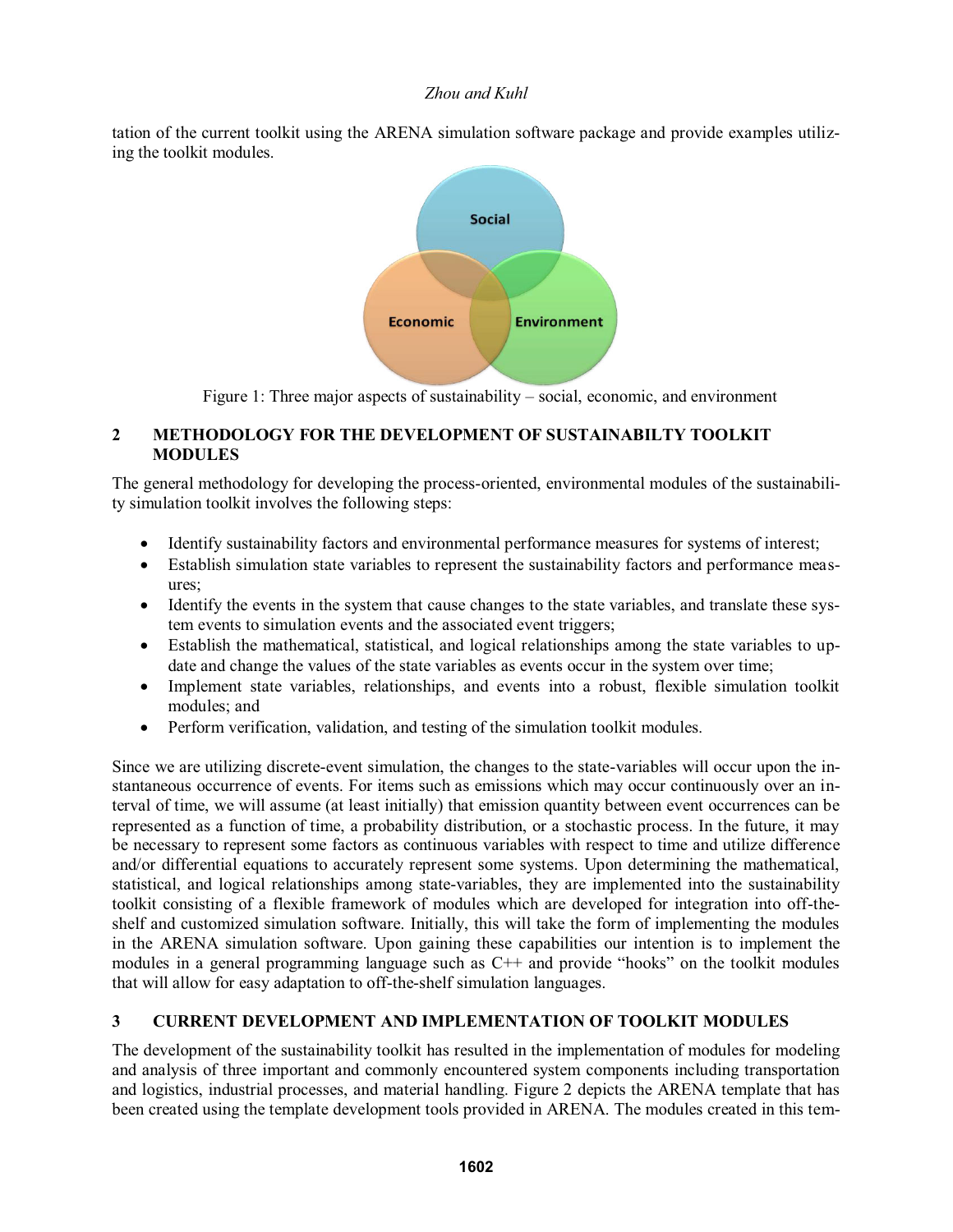tation of the current toolkit using the ARENA simulation software package and provide examples utilizing the toolkit modules.



Figure 1: Three major aspects of sustainability – social, economic, and environment

# **2 METHODOLOGY FOR THE DEVELOPMENT OF SUSTAINABILTY TOOLKIT MODULES**

The general methodology for developing the process-oriented, environmental modules of the sustainability simulation toolkit involves the following steps:

- Identify sustainability factors and environmental performance measures for systems of interest;
- Establish simulation state variables to represent the sustainability factors and performance measures;
- Identify the events in the system that cause changes to the state variables, and translate these system events to simulation events and the associated event triggers;
- Establish the mathematical, statistical, and logical relationships among the state variables to update and change the values of the state variables as events occur in the system over time;
- $\bullet$  Implement state variables, relationships, and events into a robust, flexible simulation toolkit modules; and
- $\bullet$ Perform verification, validation, and testing of the simulation toolkit modules.

Since we are utilizing discrete-event simulation, the changes to the state-variables will occur upon the instantaneous occurrence of events. For items such as emissions which may occur continuously over an interval of time, we will assume (at least initially) that emission quantity between event occurrences can be represented as a function of time, a probability distribution, or a stochastic process. In the future, it may be necessary to represent some factors as continuous variables with respect to time and utilize difference and/or differential equations to accurately represent some systems. Upon determining the mathematical, statistical, and logical relationships among state-variables, they are implemented into the sustainability toolkit consisting of a flexible framework of modules which are developed for integration into off-theshelf and customized simulation software. Initially, this will take the form of implementing the modules in the ARENA simulation software. Upon gaining these capabilities our intention is to implement the modules in a general programming language such as C++ and provide "hooks" on the toolkit modules that will allow for easy adaptation to off-the-shelf simulation languages.

# **3 CURRENT DEVELOPMENT AND IMPLEMENTATION OF TOOLKIT MODULES**

The development of the sustainability toolkit has resulted in the implementation of modules for modeling and analysis of three important and commonly encountered system components including transportation and logistics, industrial processes, and material handling. Figure 2 depicts the ARENA template that has been created using the template development tools provided in ARENA. The modules created in this tem-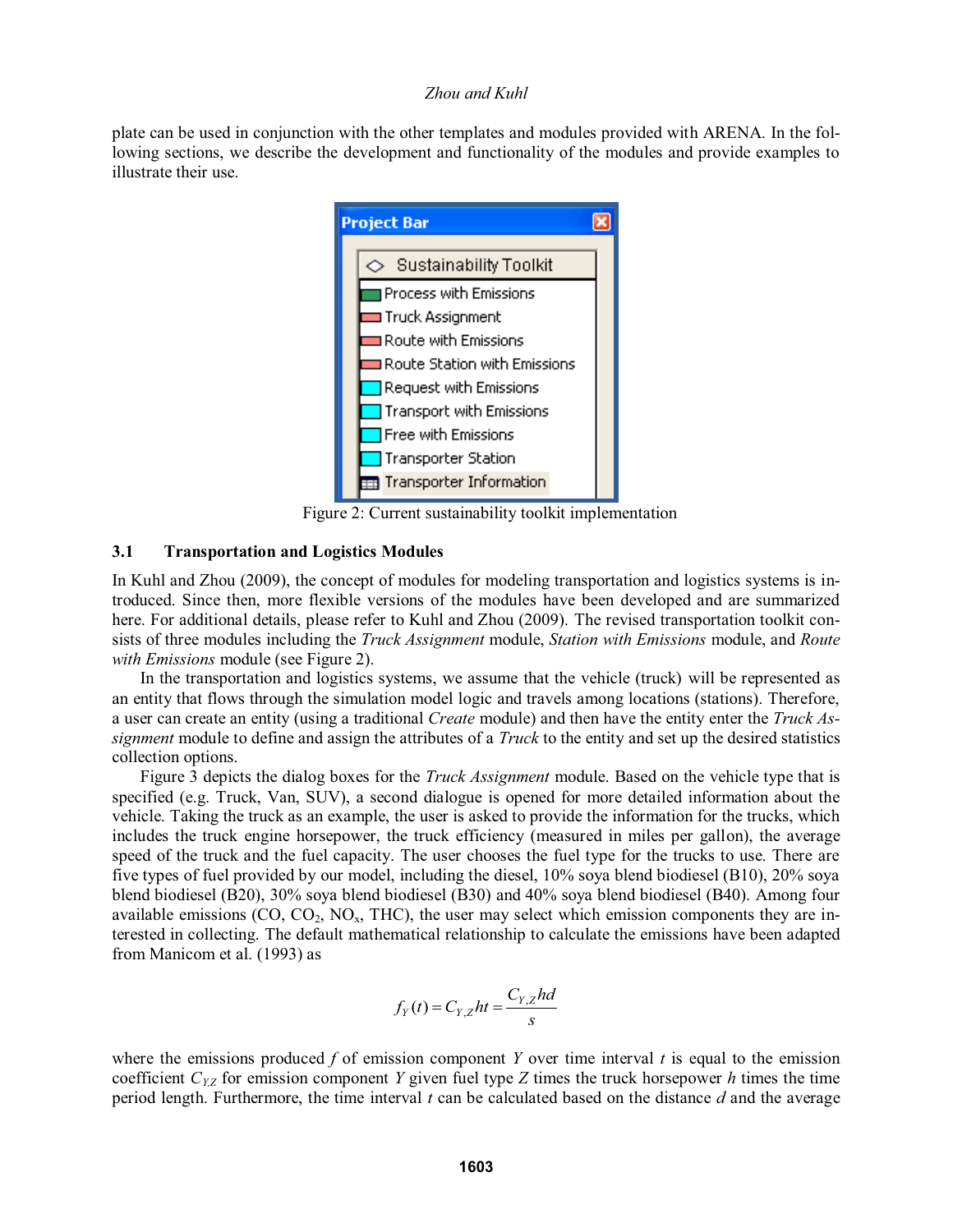plate can be used in conjunction with the other templates and modules provided with ARENA. In the following sections, we describe the development and functionality of the modules and provide examples to illustrate their use.



Figure 2: Current sustainability toolkit implementation

### **3.1 Transportation and Logistics Modules**

In Kuhl and Zhou (2009), the concept of modules for modeling transportation and logistics systems is introduced. Since then, more flexible versions of the modules have been developed and are summarized here. For additional details, please refer to Kuhl and Zhou (2009). The revised transportation toolkit consists of three modules including the *Truck Assignment* module, *Station with Emissions* module, and *Route with Emissions* module (see Figure 2).

In the transportation and logistics systems, we assume that the vehicle (truck) will be represented as an entity that flows through the simulation model logic and travels among locations (stations). Therefore, a user can create an entity (using a traditional *Create* module) and then have the entity enter the *Truck Assignment* module to define and assign the attributes of a *Truck* to the entity and set up the desired statistics collection options.

Figure 3 depicts the dialog boxes for the *Truck Assignment* module. Based on the vehicle type that is specified (e.g. Truck, Van, SUV), a second dialogue is opened for more detailed information about the vehicle. Taking the truck as an example, the user is asked to provide the information for the trucks, which includes the truck engine horsepower, the truck efficiency (measured in miles per gallon), the average speed of the truck and the fuel capacity. The user chooses the fuel type for the trucks to use. There are five types of fuel provided by our model, including the diesel, 10% soya blend biodiesel (B10), 20% soya blend biodiesel (B20), 30% soya blend biodiesel (B30) and 40% soya blend biodiesel (B40). Among four available emissions  $(CO_1, CO_2, NO_x, THC)$ , the user may select which emission components they are interested in collecting. The default mathematical relationship to calculate the emissions have been adapted from Manicom et al. (1993) as

$$
f_Y(t) = C_{Y,Z} ht = \frac{C_{Y,Z} hd}{s}
$$

where the emissions produced *f* of emission component *Y* over time interval *t* is equal to the emission coefficient  $C_{YZ}$  for emission component *Y* given fuel type *Z* times the truck horsepower *h* times the time period length. Furthermore, the time interval *t* can be calculated based on the distance *d* and the average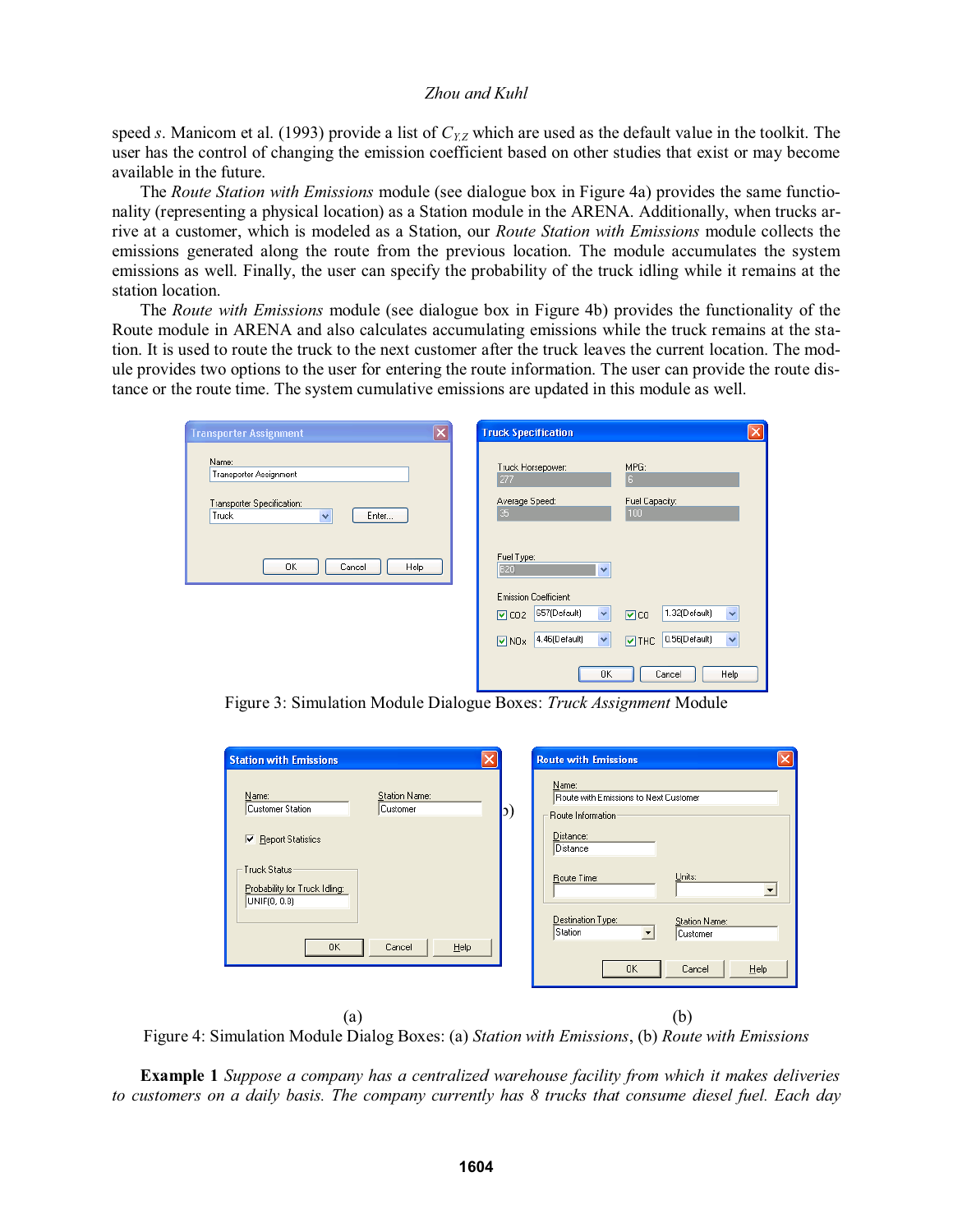speed *s*. Manicom et al. (1993) provide a list of  $C_{Y,Z}$  which are used as the default value in the toolkit. The user has the control of changing the emission coefficient based on other studies that exist or may become available in the future.

 The *Route Station with Emissions* module (see dialogue box in Figure 4a) provides the same functionality (representing a physical location) as a Station module in the ARENA. Additionally, when trucks arrive at a customer, which is modeled as a Station, our *Route Station with Emissions* module collects the emissions generated along the route from the previous location. The module accumulates the system emissions as well. Finally, the user can specify the probability of the truck idling while it remains at the station location.

 The *Route with Emissions* module (see dialogue box in Figure 4b) provides the functionality of the Route module in ARENA and also calculates accumulating emissions while the truck remains at the station. It is used to route the truck to the next customer after the truck leaves the current location. The module provides two options to the user for entering the route information. The user can provide the route distance or the route time. The system cumulative emissions are updated in this module as well.

| $\overline{\mathsf{x}}$<br><b>Transporter Assignment</b>                             | $\vert x \vert$<br><b>Truck Specification</b>                                                                                   |
|--------------------------------------------------------------------------------------|---------------------------------------------------------------------------------------------------------------------------------|
| Name:<br>Transporter Assignment<br>Transporter Specification:<br>Truck<br>Enter<br>× | MPG:<br>Truck Horsepower:<br>277<br>16.<br>Fuel Capacity:<br>Average Speed:<br>35<br>100                                        |
| 0K<br>Cancel<br>Help                                                                 | Fuel Type:<br><b>B20</b><br>×                                                                                                   |
|                                                                                      | Emission Coefficient:<br>1.32(Default)<br>657(Default)<br>$\Box$ CO<br>$\checkmark$<br>$\nabla$ CO <sub>2</sub><br>$\checkmark$ |
|                                                                                      | 4.46(Default)<br>$\checkmark$<br>0.56(Default)<br>$\checkmark$<br>$\nabla$ THC<br>$\nabla$ NO <sub>x</sub>                      |
|                                                                                      | 0K<br>Help<br>Cancel                                                                                                            |

Figure 3: Simulation Module Dialogue Boxes: *Truck Assignment* Module

| <b>Station with Emissions</b>                                                                                                                                                 | $\vert x \vert$<br><b>Route with Emissions</b>                                                                                                                                                                                            | $ \mathsf{x} $           |
|-------------------------------------------------------------------------------------------------------------------------------------------------------------------------------|-------------------------------------------------------------------------------------------------------------------------------------------------------------------------------------------------------------------------------------------|--------------------------|
| Station Name:<br>Name:<br>Customer Station<br>Customer<br><b>▽</b> Report Statistics<br>Truck Status:<br>Probability for Truck Idling:<br>UNIF(0, 0.8)<br>He<br>OK.<br>Cancel | Name:<br>Route with Emissions to Next Customer<br>D)<br>Route Information<br>Distance:<br>Distance<br>Units:<br>Route Time:<br>Destination Type:<br>Station Name:<br>Station<br>$\blacktriangledown$<br>Customer<br>Help<br>Cancel<br>OK. | $\overline{\phantom{a}}$ |

 $(a)$  (b) Figure 4: Simulation Module Dialog Boxes: (a) *Station with Emissions*, (b) *Route with Emissions*

 **Example 1** *Suppose a company has a centralized warehouse facility from which it makes deliveries to customers on a daily basis. The company currently has 8 trucks that consume diesel fuel. Each day*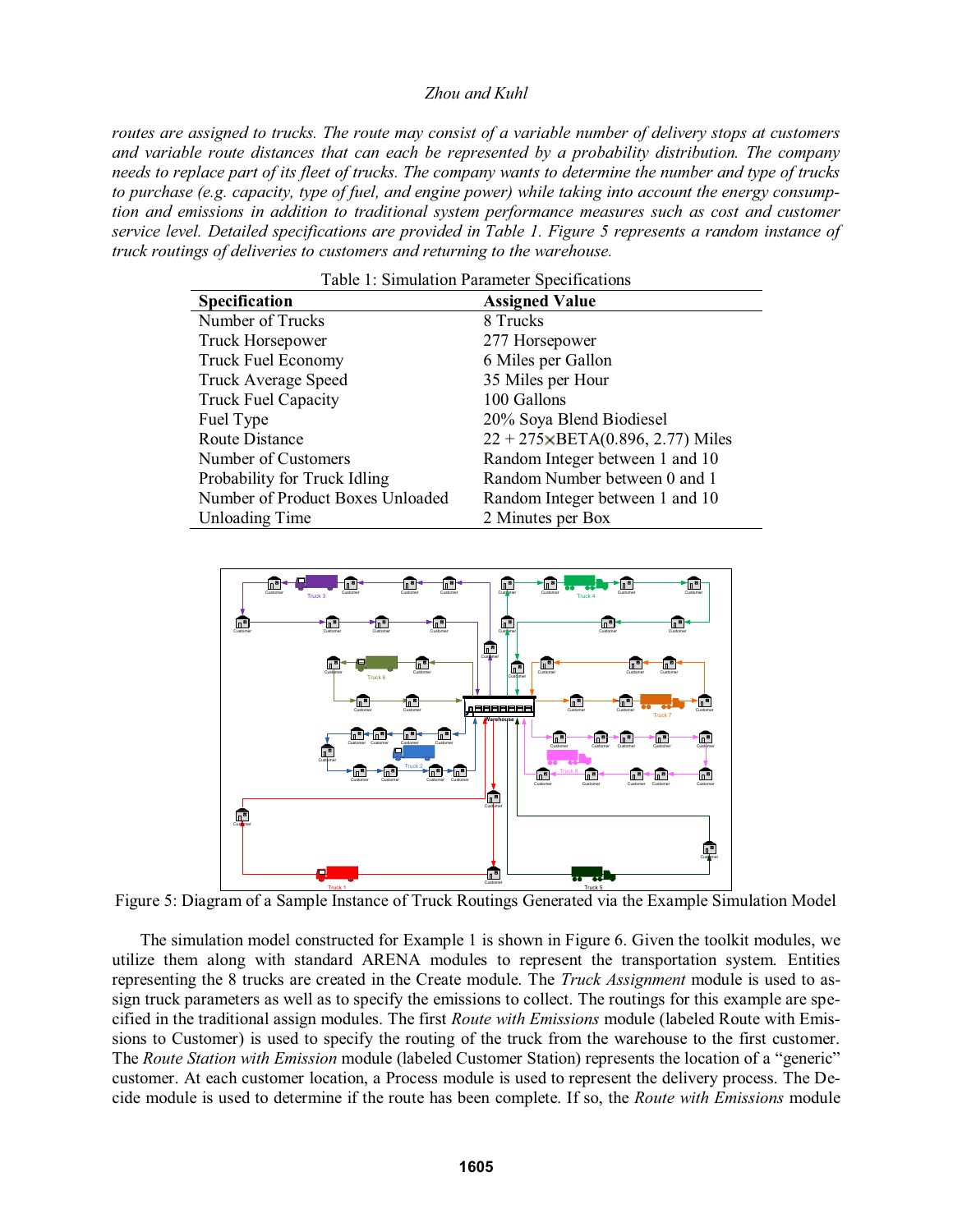*routes are assigned to trucks. The route may consist of a variable number of delivery stops at customers and variable route distances that can each be represented by a probability distribution. The company needs to replace part of its fleet of trucks. The company wants to determine the number and type of trucks to purchase (e.g. capacity, type of fuel, and engine power) while taking into account the energy consumption and emissions in addition to traditional system performance measures such as cost and customer service level. Detailed specifications are provided in Table 1. Figure 5 represents a random instance of truck routings of deliveries to customers and returning to the warehouse.* 

| Table 1: Simulation Parameter Specifications |                                                  |  |  |  |
|----------------------------------------------|--------------------------------------------------|--|--|--|
| Specification                                | <b>Assigned Value</b>                            |  |  |  |
| Number of Trucks                             | 8 Trucks                                         |  |  |  |
| <b>Truck Horsepower</b>                      | 277 Horsepower                                   |  |  |  |
| <b>Truck Fuel Economy</b>                    | 6 Miles per Gallon                               |  |  |  |
| <b>Truck Average Speed</b>                   | 35 Miles per Hour                                |  |  |  |
| <b>Truck Fuel Capacity</b>                   | 100 Gallons                                      |  |  |  |
| Fuel Type                                    | 20% Soya Blend Biodiesel                         |  |  |  |
| <b>Route Distance</b>                        | $22 + 275 \times \text{BETA}(0.896, 2.77)$ Miles |  |  |  |
| Number of Customers                          | Random Integer between 1 and 10                  |  |  |  |
| Probability for Truck Idling                 | Random Number between 0 and 1                    |  |  |  |
| Number of Product Boxes Unloaded             | Random Integer between 1 and 10                  |  |  |  |
| Unloading Time                               | 2 Minutes per Box                                |  |  |  |



Figure 5: Diagram of a Sample Instance of Truck Routings Generated via the Example Simulation Model

 The simulation model constructed for Example 1 is shown in Figure 6. Given the toolkit modules, we utilize them along with standard ARENA modules to represent the transportation system. Entities representing the 8 trucks are created in the Create module. The *Truck Assignment* module is used to assign truck parameters as well as to specify the emissions to collect. The routings for this example are specified in the traditional assign modules. The first *Route with Emissions* module (labeled Route with Emissions to Customer) is used to specify the routing of the truck from the warehouse to the first customer. The *Route Station with Emission* module (labeled Customer Station) represents the location of a  customer. At each customer location, a Process module is used to represent the delivery process. The Decide module is used to determine if the route has been complete. If so, the *Route with Emissions* module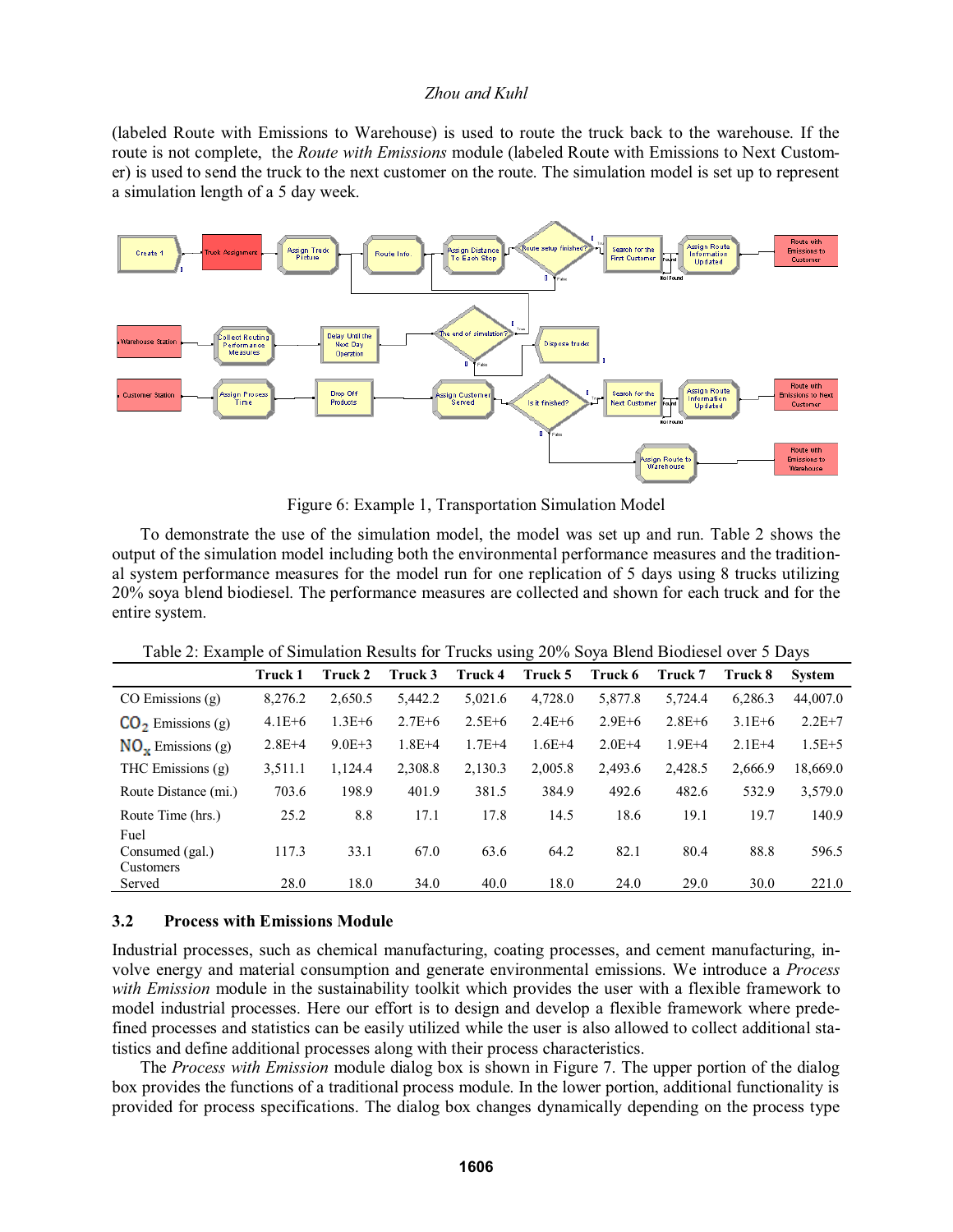(labeled Route with Emissions to Warehouse) is used to route the truck back to the warehouse. If the route is not complete, the *Route with Emissions* module (labeled Route with Emissions to Next Customer) is used to send the truck to the next customer on the route. The simulation model is set up to represent a simulation length of a 5 day week.



Figure 6: Example 1, Transportation Simulation Model

 To demonstrate the use of the simulation model, the model was set up and run. Table 2 shows the output of the simulation model including both the environmental performance measures and the traditional system performance measures for the model run for one replication of 5 days using 8 trucks utilizing 20% soya blend biodiesel. The performance measures are collected and shown for each truck and for the entire system.

|  | Table 2: Example of Simulation Results for Trucks using 20% Soya Blend Biodiesel over 5 Days |
|--|----------------------------------------------------------------------------------------------|
|  |                                                                                              |

|                                      | Truck 1    | Truck 2    | Truck 3    | Truck 4    | Truck 5    | Truck 6    | Truck 7    | Truck 8    | <b>System</b> |
|--------------------------------------|------------|------------|------------|------------|------------|------------|------------|------------|---------------|
| $CO$ Emissions $(g)$                 | 8,276.2    | 2,650.5    | 5,442.2    | 5,021.6    | 4,728.0    | 5,877.8    | 5,724.4    | 6,286.3    | 44,007.0      |
| $CO2$ Emissions (g)                  | $4.1E + 6$ | $1.3E + 6$ | $2.7E + 6$ | $2.5E + 6$ | $2.4E + 6$ | $2.9E + 6$ | $2.8E + 6$ | $3.1E + 6$ | $2.2E+7$      |
| $NOx$ Emissions (g)                  | $2.8E + 4$ | $9.0E + 3$ | $1.8E + 4$ | $1.7E + 4$ | $1.6E + 4$ | $2.0E + 4$ | $1.9E + 4$ | $2.1E + 4$ | $1.5E + 5$    |
| THC Emissions (g)                    | 3,511.1    | 1,124.4    | 2,308.8    | 2,130.3    | 2,005.8    | 2,493.6    | 2,428.5    | 2,666.9    | 18,669.0      |
| Route Distance (mi.)                 | 703.6      | 198.9      | 401.9      | 381.5      | 384.9      | 492.6      | 482.6      | 532.9      | 3,579.0       |
| Route Time (hrs.)                    | 25.2       | 8.8        | 17.1       | 17.8       | 14.5       | 18.6       | 19.1       | 19.7       | 140.9         |
| Fuel<br>Consumed (gal.)<br>Customers | 117.3      | 33.1       | 67.0       | 63.6       | 64.2       | 82.1       | 80.4       | 88.8       | 596.5         |
| Served                               | 28.0       | 18.0       | 34.0       | 40.0       | 18.0       | 24.0       | 29.0       | 30.0       | 221.0         |

#### **3.2 Process with Emissions Module**

Industrial processes, such as chemical manufacturing, coating processes, and cement manufacturing, involve energy and material consumption and generate environmental emissions. We introduce a *Process with Emission* module in the sustainability toolkit which provides the user with a flexible framework to model industrial processes. Here our effort is to design and develop a flexible framework where predefined processes and statistics can be easily utilized while the user is also allowed to collect additional statistics and define additional processes along with their process characteristics.

 The *Process with Emission* module dialog box is shown in Figure 7. The upper portion of the dialog box provides the functions of a traditional process module. In the lower portion, additional functionality is provided for process specifications. The dialog box changes dynamically depending on the process type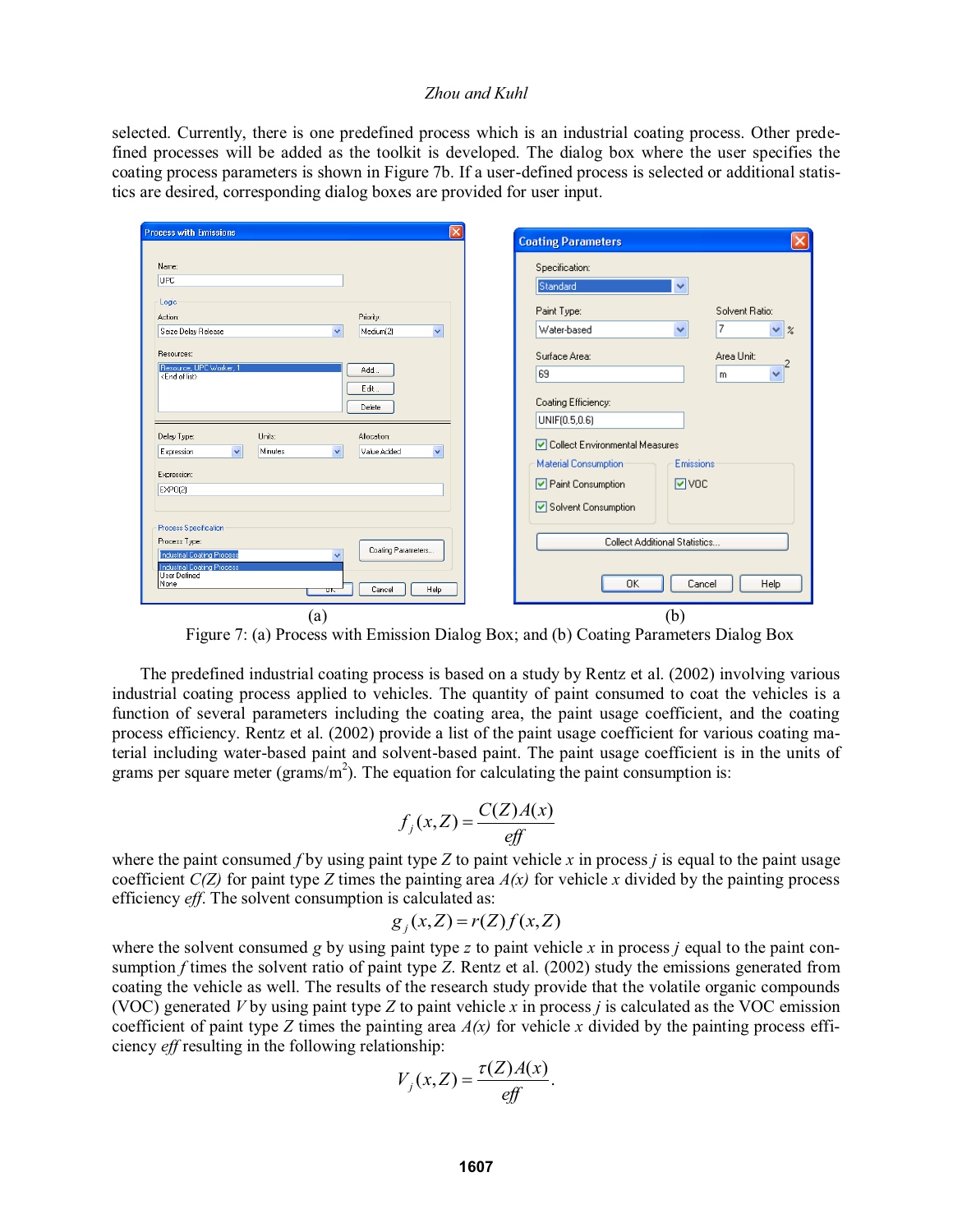selected. Currently, there is one predefined process which is an industrial coating process. Other predefined processes will be added as the toolkit is developed. The dialog box where the user specifies the coating process parameters is shown in Figure 7b. If a user-defined process is selected or additional statistics are desired, corresponding dialog boxes are provided for user input.

| Ιx<br><b>Process with Emissions</b>                                                                                                                                                                                                                                                                                                                                                                                                    | $\vert x \vert$<br><b>Coating Parameters</b>                                                                                                                                                                                                                   |
|----------------------------------------------------------------------------------------------------------------------------------------------------------------------------------------------------------------------------------------------------------------------------------------------------------------------------------------------------------------------------------------------------------------------------------------|----------------------------------------------------------------------------------------------------------------------------------------------------------------------------------------------------------------------------------------------------------------|
| Name:<br>UPC<br>Logic<br>Priority:<br>Action:                                                                                                                                                                                                                                                                                                                                                                                          | Specification:<br>Standard<br>$\checkmark$<br>Paint Type:<br>Solvent Ratio:<br>7<br>Water-based<br>v                                                                                                                                                           |
| $\checkmark$<br>$\checkmark$<br>Seize Delay Release<br>Medium <sup>[2]</sup><br>Resources:<br>Resource, UPC Worker, 1<br>Add<br><end list="" of=""><br/>Edit<br/>Delete<br/>Delay Type:<br/>Units:<br/>Allocation:<br/><math display="inline">\checkmark</math><br/>Minutes<br/><math display="inline">\checkmark</math><br/><math display="inline">\checkmark</math><br/>Value Added<br/>Expression<br/>Expression:<br/>EXP0(2)</end> | ×<br>$\boldsymbol{\mathcal{Z}}$<br>Area Unit:<br>Surface Area:<br>69<br>v<br>m<br>Coating Efficiency:<br>UNIF(0.5,0.6)<br>O Collect Environmental Measures<br>Material Consumption:<br>Emissions<br><b>⊠</b> ∨oc<br>Paint Consumption<br>☑ Solvent Consumption |
| Process Specification<br>Process Type:<br>Coating Parameters<br><b>Industrial Coating Process</b><br>$\ddotmark$<br><b>Industrial Coating Process</b><br><b>User Defined</b><br>None<br>Help<br>Cancel<br>ℼ                                                                                                                                                                                                                            | Collect Additional Statistics<br>0K<br>Cancel<br>Help                                                                                                                                                                                                          |
| (a)                                                                                                                                                                                                                                                                                                                                                                                                                                    | $\left(\mathrm{b}\right)$                                                                                                                                                                                                                                      |

Figure 7: (a) Process with Emission Dialog Box; and (b) Coating Parameters Dialog Box

The predefined industrial coating process is based on a study by Rentz et al. (2002) involving various industrial coating process applied to vehicles. The quantity of paint consumed to coat the vehicles is a function of several parameters including the coating area, the paint usage coefficient, and the coating process efficiency. Rentz et al. (2002) provide a list of the paint usage coefficient for various coating material including water-based paint and solvent-based paint. The paint usage coefficient is in the units of grams per square meter (grams/m<sup>2</sup>). The equation for calculating the paint consumption is:

$$
f_j(x,Z) = \frac{C(Z)A(x)}{eff}
$$

where the paint consumed *f* by using paint type *Z* to paint vehicle *x* in process *j* is equal to the paint usage coefficient  $C(Z)$  for paint type Z times the painting area  $A(x)$  for vehicle x divided by the painting process efficiency *eff*. The solvent consumption is calculated as:

$$
g_j(x,Z) = r(Z)f(x,Z)
$$

where the solvent consumed *g* by using paint type *z* to paint vehicle *x* in process *j* equal to the paint consumption *f* times the solvent ratio of paint type *Z*. Rentz et al. (2002) study the emissions generated from coating the vehicle as well. The results of the research study provide that the volatile organic compounds (VOC) generated *V* by using paint type *Z* to paint vehicle *x* in process *j* is calculated as the VOC emission coefficient of paint type *Z* times the painting area  $A(x)$  for vehicle *x* divided by the painting process efficiency *eff* resulting in the following relationship:

$$
V_j(x,Z) = \frac{\tau(Z)A(x)}{eff}.
$$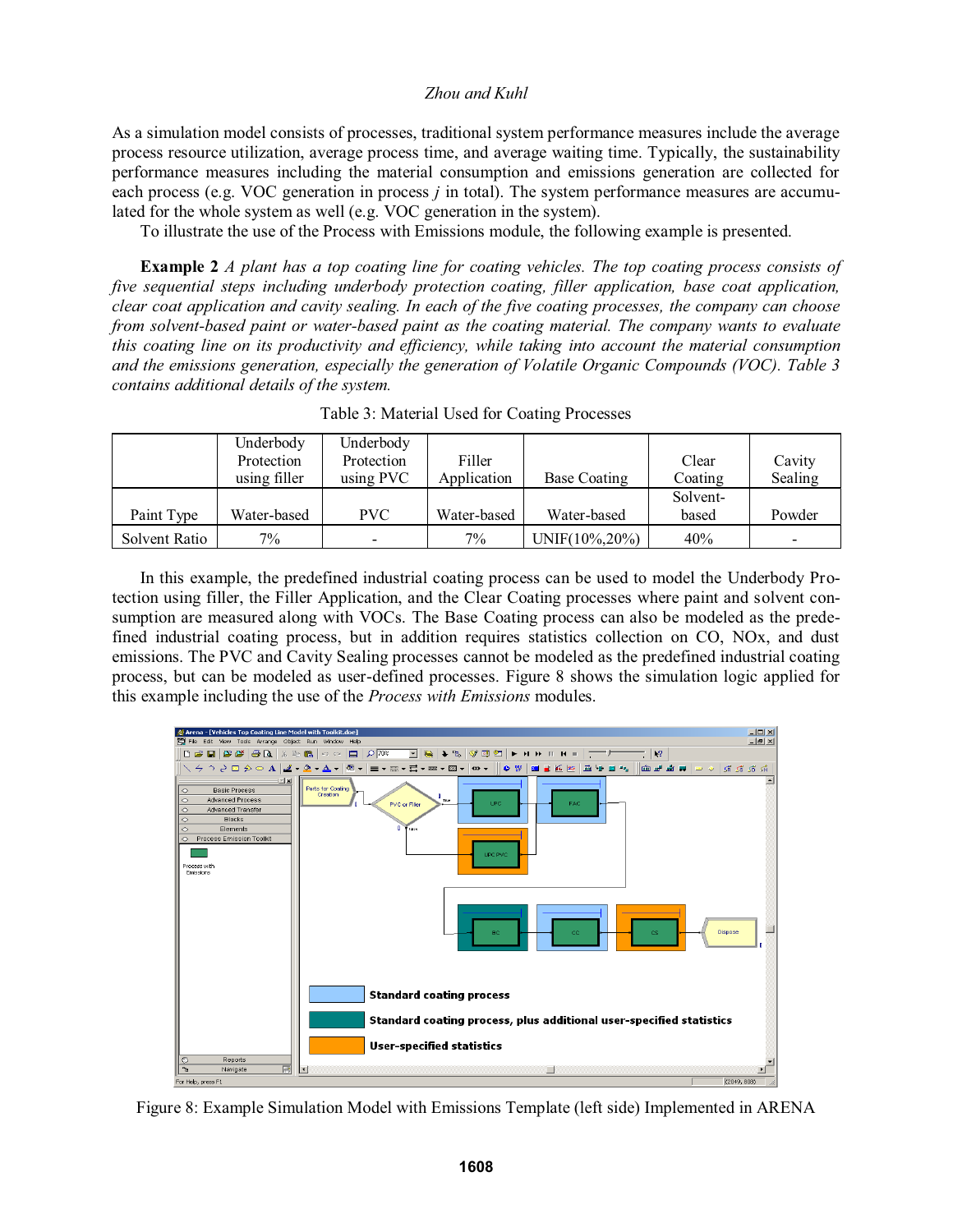As a simulation model consists of processes, traditional system performance measures include the average process resource utilization, average process time, and average waiting time. Typically, the sustainability performance measures including the material consumption and emissions generation are collected for each process (e.g. VOC generation in process *j* in total). The system performance measures are accumulated for the whole system as well (e.g. VOC generation in the system).

To illustrate the use of the Process with Emissions module, the following example is presented.

 **Example 2** *A plant has a top coating line for coating vehicles. The top coating process consists of five sequential steps including underbody protection coating, filler application, base coat application, clear coat application and cavity sealing. In each of the five coating processes, the company can choose from solvent-based paint or water-based paint as the coating material. The company wants to evaluate this coating line on its productivity and efficiency, while taking into account the material consumption and the emissions generation, especially the generation of Volatile Organic Compounds (VOC). Table 3 contains additional details of the system.* 

|               | Underbody    | Underbody  |             |                     |          |         |
|---------------|--------------|------------|-------------|---------------------|----------|---------|
|               | Protection   | Protection | Filler      |                     | Clear    | Cavity  |
|               | using filler | using PVC  | Application | Base Coating        | Coating  | Sealing |
|               |              |            |             |                     | Solvent- |         |
| Paint Type    | Water-based  | PVC.       | Water-based | Water-based         | based    | Powder  |
| Solvent Ratio | $7\%$        |            | 7%          | UNIF $(10\%, 20\%)$ | 40%      |         |

Table 3: Material Used for Coating Processes

 In this example, the predefined industrial coating process can be used to model the Underbody Protection using filler, the Filler Application, and the Clear Coating processes where paint and solvent consumption are measured along with VOCs. The Base Coating process can also be modeled as the predefined industrial coating process, but in addition requires statistics collection on CO, NOx, and dust emissions. The PVC and Cavity Sealing processes cannot be modeled as the predefined industrial coating process, but can be modeled as user-defined processes. Figure 8 shows the simulation logic applied for this example including the use of the *Process with Emissions* modules.



Figure 8: Example Simulation Model with Emissions Template (left side) Implemented in ARENA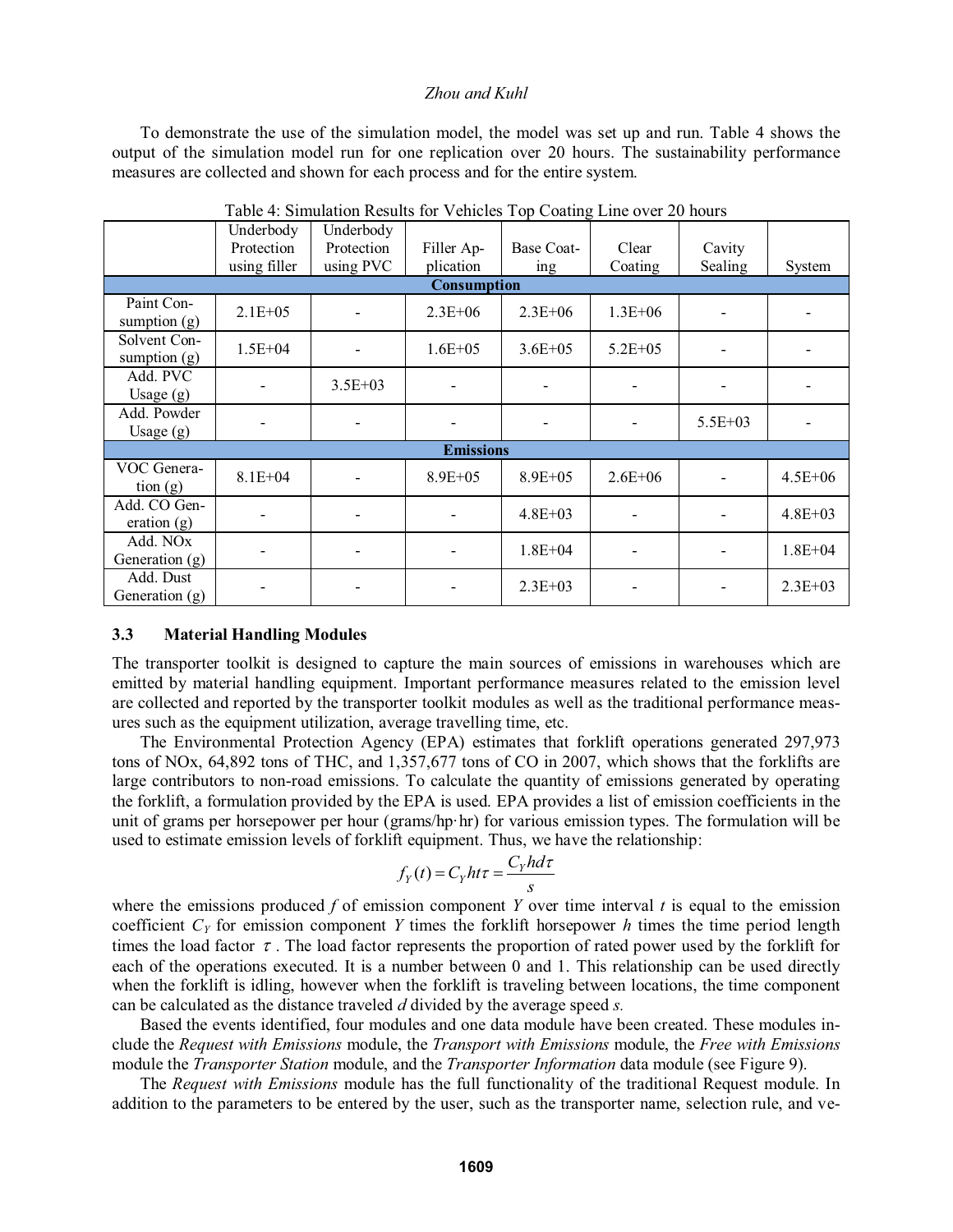To demonstrate the use of the simulation model, the model was set up and run. Table 4 shows the output of the simulation model run for one replication over 20 hours. The sustainability performance measures are collected and shown for each process and for the entire system.

|                                                   | Underbody    | Underbody   |                    |                              |              |             |             |
|---------------------------------------------------|--------------|-------------|--------------------|------------------------------|--------------|-------------|-------------|
|                                                   | Protection   | Protection  | Filler Ap-         | <b>Base Coat-</b>            | Clear        | Cavity      |             |
|                                                   | using filler | using PVC   | plication          | ing                          | Coating      | Sealing     | System      |
|                                                   |              |             | <b>Consumption</b> |                              |              |             |             |
| Paint Con-<br>sumption $(g)$                      | $2.1E + 0.5$ |             | $2.3E + 06$        | $2.3E + 06$                  | $1.3E + 06$  |             |             |
| Solvent Con-<br>sumption $(g)$                    | $1.5E + 04$  |             | $1.6E + 0.5$       | $3.6E + 0.5$                 | $5.2E + 0.5$ |             |             |
| Add. PVC<br>Usage $(g)$                           |              | $3.5E + 03$ |                    |                              |              |             |             |
| Add. Powder<br>Usage $(g)$                        |              |             |                    | $\qquad \qquad \blacksquare$ |              | $5.5E + 03$ |             |
|                                                   |              |             | <b>Emissions</b>   |                              |              |             |             |
| VOC Genera-<br>$\frac{\text{tion (g)}}{\text{d}}$ | $8.1E + 04$  |             | $8.9E + 05$        | $8.9E + 05$                  | $2.6E + 06$  |             | $4.5E + 06$ |
| Add. CO Gen-<br>eration $(g)$                     |              |             |                    | $4.8E + 03$                  |              |             | $4.8E + 03$ |
| Add. NO <sub>x</sub><br>Generation $(g)$          |              |             |                    | $1.8E + 04$                  |              |             | $1.8E + 04$ |
| Add. Dust<br>Generation $(g)$                     |              |             |                    | $2.3E + 03$                  |              |             | $2.3E + 03$ |

Table 4: Simulation Results for Vehicles Top Coating Line over 20 hours

### **3.3 Material Handling Modules**

The transporter toolkit is designed to capture the main sources of emissions in warehouses which are emitted by material handling equipment. Important performance measures related to the emission level are collected and reported by the transporter toolkit modules as well as the traditional performance measures such as the equipment utilization, average travelling time, etc.

 The Environmental Protection Agency (EPA) estimates that forklift operations generated 297,973 tons of NOx, 64,892 tons of THC, and 1,357,677 tons of CO in 2007, which shows that the forklifts are large contributors to non-road emissions. To calculate the quantity of emissions generated by operating the forklift, a formulation provided by the EPA is used. EPA provides a list of emission coefficients in the unit of grams per horsepower per hour (grams/hp·hr) for various emission types. The formulation will be used to estimate emission levels of forklift equipment. Thus, we have the relationship:

$$
f_Y(t) = C_Y h t \tau = \frac{C_Y h d \tau}{s}
$$

where the emissions produced *f* of emission component *Y* over time interval *t* is equal to the emission coefficient *CY* for emission component *Y* times the forklift horsepower *h* times the time period length times the load factor  $\tau$ . The load factor represents the proportion of rated power used by the forklift for each of the operations executed. It is a number between 0 and 1. This relationship can be used directly when the forklift is idling, however when the forklift is traveling between locations, the time component can be calculated as the distance traveled *d* divided by the average speed *s.* 

 Based the events identified, four modules and one data module have been created. These modules include the *Request with Emissions* module, the *Transport with Emissions* module, the *Free with Emissions* module the *Transporter Station* module, and the *Transporter Information* data module (see Figure 9).

 The *Request with Emissions* module has the full functionality of the traditional Request module. In addition to the parameters to be entered by the user, such as the transporter name, selection rule, and ve-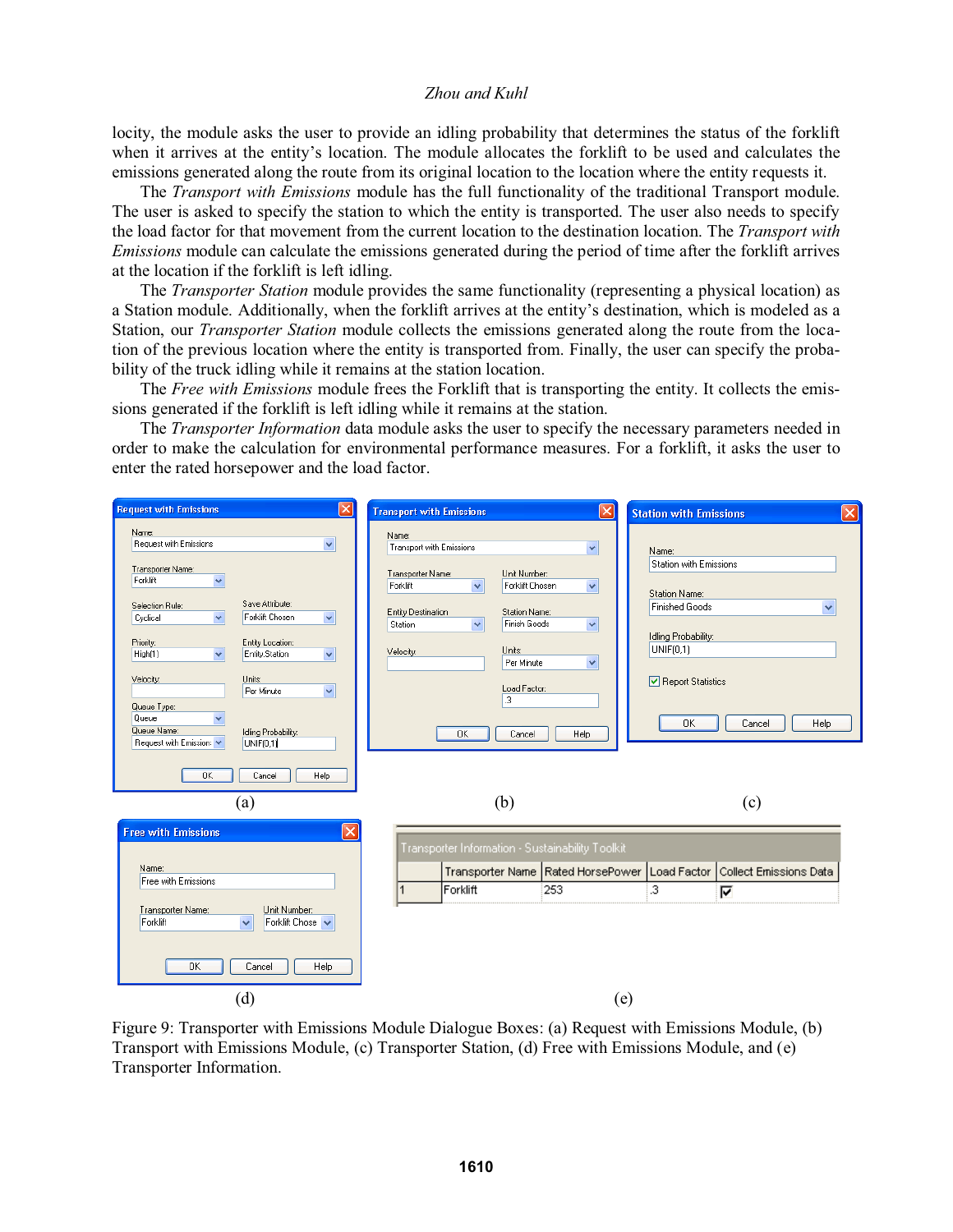locity, the module asks the user to provide an idling probability that determines the status of the forklift when it arrives at the entity's location. The module allocates the forklift to be used and calculates the emissions generated along the route from its original location to the location where the entity requests it.

 The *Transport with Emissions* module has the full functionality of the traditional Transport module. The user is asked to specify the station to which the entity is transported. The user also needs to specify the load factor for that movement from the current location to the destination location. The *Transport with Emissions* module can calculate the emissions generated during the period of time after the forklift arrives at the location if the forklift is left idling.

 The *Transporter Station* module provides the same functionality (representing a physical location) as a Station module. Additionally, when the forklift arrives at the entity's destination, which is modeled as a Station, our *Transporter Station* module collects the emissions generated along the route from the location of the previous location where the entity is transported from. Finally, the user can specify the probability of the truck idling while it remains at the station location.

 The *Free with Emissions* module frees the Forklift that is transporting the entity. It collects the emissions generated if the forklift is left idling while it remains at the station.

 The *Transporter Information* data module asks the user to specify the necessary parameters needed in order to make the calculation for environmental performance measures. For a forklift, it asks the user to enter the rated horsepower and the load factor.



Figure 9: Transporter with Emissions Module Dialogue Boxes: (a) Request with Emissions Module, (b) Transport with Emissions Module, (c) Transporter Station, (d) Free with Emissions Module, and (e) Transporter Information.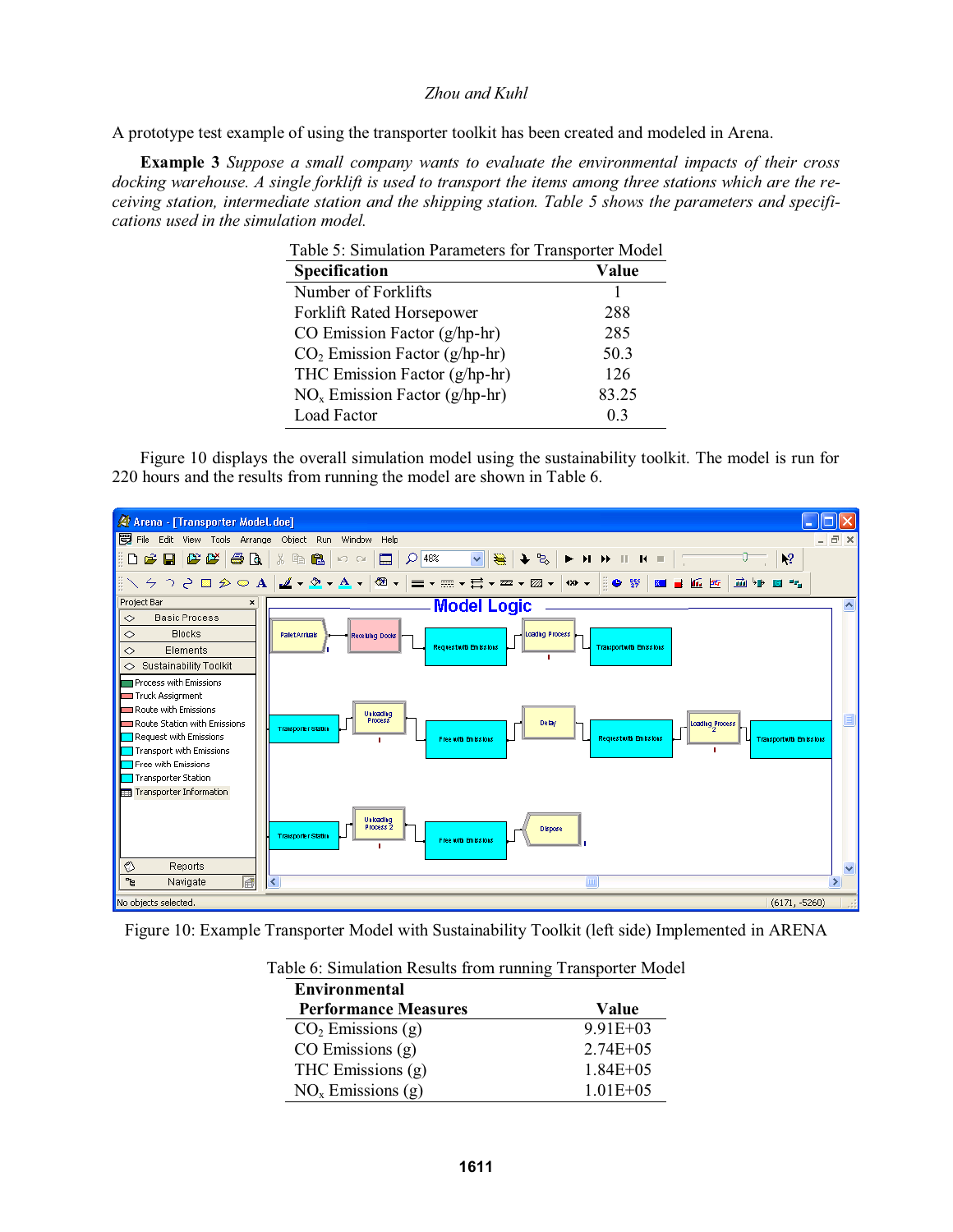A prototype test example of using the transporter toolkit has been created and modeled in Arena.

**Example 3** *Suppose a small company wants to evaluate the environmental impacts of their cross docking warehouse. A single forklift is used to transport the items among three stations which are the receiving station, intermediate station and the shipping station. Table 5 shows the parameters and specifications used in the simulation model.* 

| Table 5: Simulation Parameters for Transporter Model |       |  |  |  |
|------------------------------------------------------|-------|--|--|--|
| Specification                                        | Value |  |  |  |
| Number of Forklifts                                  |       |  |  |  |
| <b>Forklift Rated Horsepower</b>                     | 288   |  |  |  |
| CO Emission Factor $(g/hp-hr)$                       | 285   |  |  |  |
| $CO2$ Emission Factor (g/hp-hr)                      | 50.3  |  |  |  |
| THC Emission Factor (g/hp-hr)                        | 126   |  |  |  |
| $NOx$ Emission Factor (g/hp-hr)                      | 83.25 |  |  |  |
| Load Factor                                          | 03    |  |  |  |

 Figure 10 displays the overall simulation model using the sustainability toolkit. The model is run for 220 hours and the results from running the model are shown in Table 6.



Figure 10: Example Transporter Model with Sustainability Toolkit (left side) Implemented in ARENA

| <b>Environmental</b>        |               |
|-----------------------------|---------------|
| <b>Performance Measures</b> | Value         |
| $CO2$ Emissions (g)         | $9.91E + 03$  |
| $CO$ Emissions $(g)$        | $2.74E + 0.5$ |
| THC Emissions (g)           | $1.84E + 0.5$ |
| $NOx$ Emissions (g)         | $1.01E + 0.5$ |